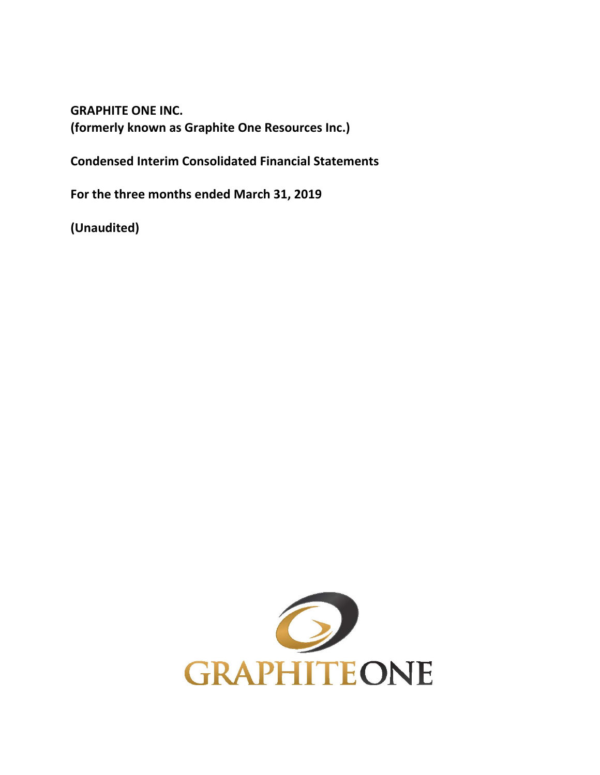**GRAPHITE ONE INC. (formerly known as Graphite One Resources Inc.)** 

**Condensed Interim Consolidated Financial Statements** 

**For the three months ended March 31, 2019** 

**(Unaudited)** 

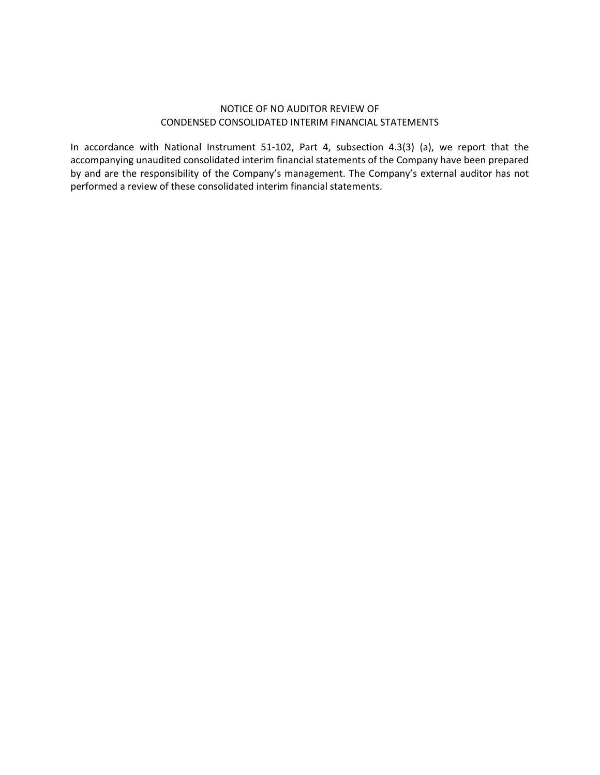## NOTICE OF NO AUDITOR REVIEW OF CONDENSED CONSOLIDATED INTERIM FINANCIAL STATEMENTS

In accordance with National Instrument 51‐102, Part 4, subsection 4.3(3) (a), we report that the accompanying unaudited consolidated interim financial statements of the Company have been prepared by and are the responsibility of the Company's management. The Company's external auditor has not performed a review of these consolidated interim financial statements.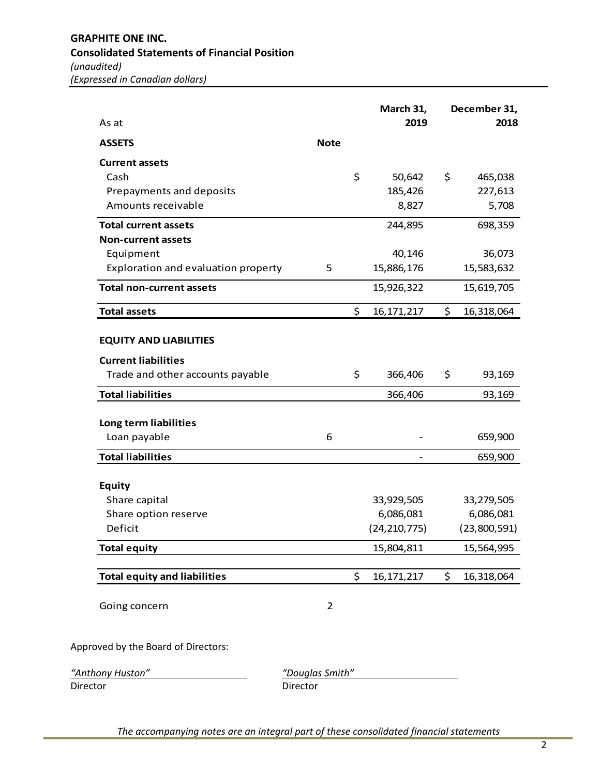| \$<br>50,642<br>185,426<br>8,827<br>244,895<br>40,146<br>15,886,176 | 465,038<br>227,613<br>5,708<br>698,359 |
|---------------------------------------------------------------------|----------------------------------------|
|                                                                     |                                        |
|                                                                     |                                        |
|                                                                     |                                        |
|                                                                     |                                        |
|                                                                     |                                        |
|                                                                     |                                        |
|                                                                     |                                        |
|                                                                     | 36,073                                 |
|                                                                     | 15,583,632                             |
| 15,926,322                                                          | 15,619,705                             |
| \$<br>16, 171, 217                                                  | 16,318,064                             |
| \$<br>366,406                                                       | 93,169                                 |
| 366,406                                                             | 93,169                                 |
|                                                                     |                                        |
|                                                                     | 659,900                                |
|                                                                     | 659,900                                |
|                                                                     |                                        |
| 33,929,505                                                          | 33,279,505                             |
| 6,086,081                                                           | 6,086,081                              |
| (24, 210, 775)                                                      | (23,800,591)                           |
| 15,804,811                                                          | 15,564,995                             |
|                                                                     | \$<br>16,318,064                       |
|                                                                     |                                        |
|                                                                     | 16, 171, 217                           |

*"Anthony Huston" "Douglas Smith"* 

Director **Director Director**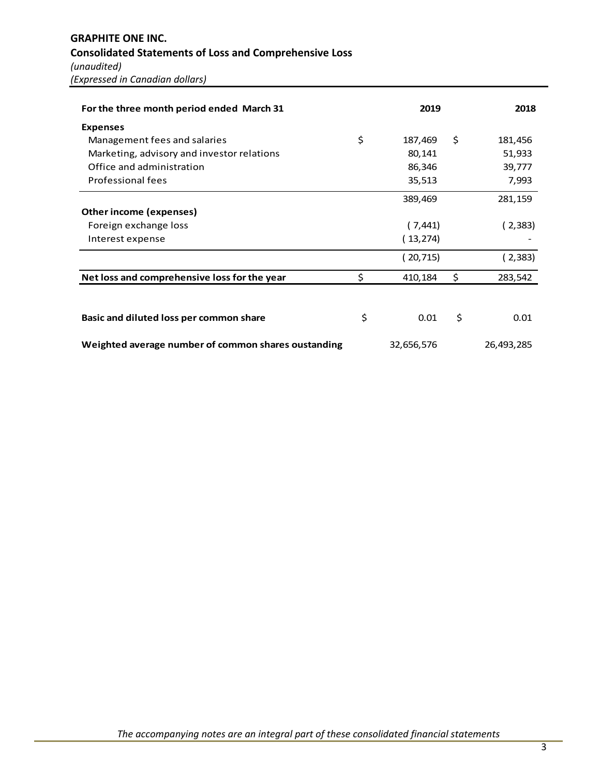| For the three month period ended March 31           |     | 2019       | 2018          |
|-----------------------------------------------------|-----|------------|---------------|
| <b>Expenses</b>                                     |     |            |               |
| Management fees and salaries                        | \$  | 187,469    | \$<br>181,456 |
| Marketing, advisory and investor relations          |     | 80,141     | 51,933        |
| Office and administration                           |     | 86,346     | 39,777        |
| Professional fees                                   |     | 35,513     | 7,993         |
|                                                     |     | 389,469    | 281,159       |
| Other income (expenses)                             |     |            |               |
| Foreign exchange loss                               |     | (7,441)    | (2,383)       |
| Interest expense                                    |     | (13,274)   |               |
|                                                     |     | (20,715)   | (2,383)       |
| Net loss and comprehensive loss for the year        | \$. | 410,184    | \$<br>283,542 |
|                                                     |     |            |               |
| Basic and diluted loss per common share             | \$  | 0.01       | \$<br>0.01    |
| Weighted average number of common shares oustanding |     | 32,656,576 | 26,493,285    |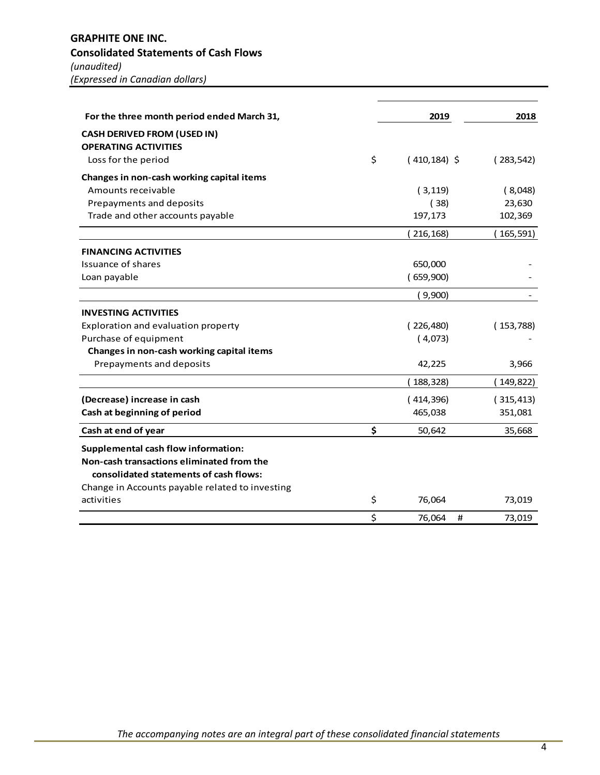# **GRAPHITE ONE INC. Consolidated Statements of Cash Flows**  *(unaudited)*

*(Expressed in Canadian dollars)* 

| For the three month period ended March 31,      | 2019                  | 2018       |
|-------------------------------------------------|-----------------------|------------|
| <b>CASH DERIVED FROM (USED IN)</b>              |                       |            |
| <b>OPERATING ACTIVITIES</b>                     |                       |            |
| Loss for the period                             | \$<br>$(410, 184)$ \$ | (283, 542) |
| Changes in non-cash working capital items       |                       |            |
| Amounts receivable                              | (3, 119)              | (8,048)    |
| Prepayments and deposits                        | (38)                  | 23,630     |
| Trade and other accounts payable                | 197,173               | 102,369    |
|                                                 | (216, 168)            | (165, 591) |
| <b>FINANCING ACTIVITIES</b>                     |                       |            |
| Issuance of shares                              | 650,000               |            |
| Loan payable                                    | (659,900)             |            |
|                                                 | (9,900)               |            |
| <b>INVESTING ACTIVITIES</b>                     |                       |            |
| Exploration and evaluation property             | (226,480)             | (153,788)  |
| Purchase of equipment                           | (4,073)               |            |
| Changes in non-cash working capital items       |                       |            |
| Prepayments and deposits                        | 42,225                | 3,966      |
|                                                 | 188,328)              | (149,822)  |
| (Decrease) increase in cash                     | (414,396)             | (315, 413) |
| Cash at beginning of period                     | 465,038               | 351,081    |
| Cash at end of year                             | \$<br>50,642          | 35,668     |
| <b>Supplemental cash flow information:</b>      |                       |            |
| Non-cash transactions eliminated from the       |                       |            |
| consolidated statements of cash flows:          |                       |            |
| Change in Accounts payable related to investing |                       |            |
| activities                                      | \$<br>76,064          | 73,019     |
|                                                 | \$<br>76,064<br>#     | 73,019     |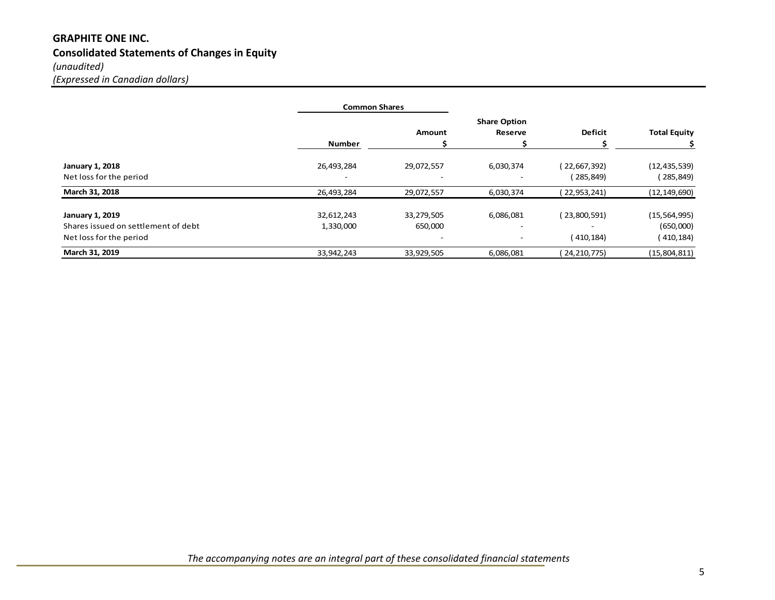# **GRAPHITE ONE INC. Consolidated Statements of Changes in Equity**  *(unaudited) (Expressed in Canadian dollars)*

|                                     | <b>Common Shares</b> |               |                          |                          |                     |
|-------------------------------------|----------------------|---------------|--------------------------|--------------------------|---------------------|
|                                     |                      |               | <b>Share Option</b>      |                          |                     |
|                                     |                      | <b>Amount</b> | Reserve                  | <b>Deficit</b>           | <b>Total Equity</b> |
|                                     | <b>Number</b>        |               |                          |                          |                     |
| <b>January 1, 2018</b>              | 26,493,284           | 29,072,557    | 6,030,374                | (22,667,392)             | (12, 435, 539)      |
| Net loss for the period             |                      |               |                          | (285,849)                | 285,849)            |
| March 31, 2018                      | 26,493,284           | 29,072,557    | 6,030,374                | 22,953,241)              | (12, 149, 690)      |
| <b>January 1, 2019</b>              | 32,612,243           | 33,279,505    | 6,086,081                | (23,800,591)             | (15, 564, 995)      |
| Shares issued on settlement of debt | 1,330,000            | 650,000       | $\overline{\phantom{a}}$ | $\overline{\phantom{a}}$ | (650,000)           |
| Net loss for the period             |                      |               | $\overline{\phantom{a}}$ | (410,184)                | (410, 184)          |
| March 31, 2019                      | 33,942,243           | 33,929,505    | 6,086,081                | (24, 210, 775)           | (15,804,811)        |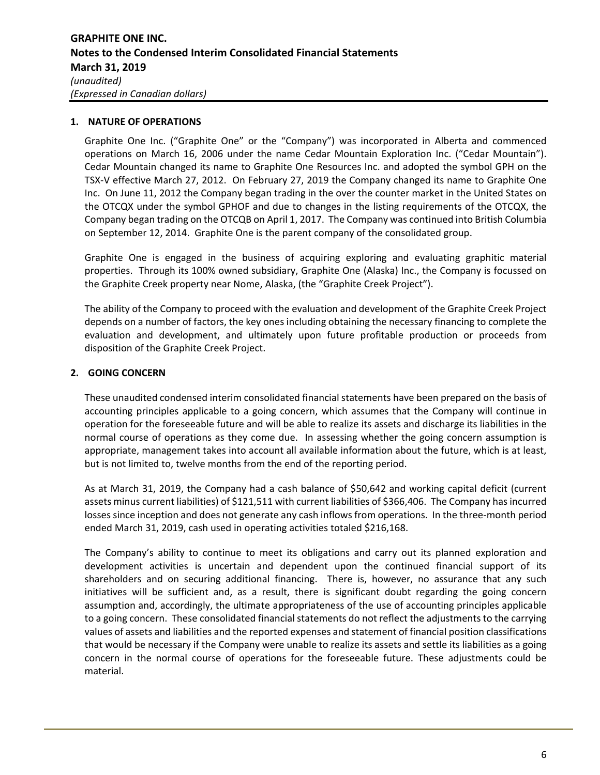## **1. NATURE OF OPERATIONS**

Graphite One Inc. ("Graphite One" or the "Company") was incorporated in Alberta and commenced operations on March 16, 2006 under the name Cedar Mountain Exploration Inc. ("Cedar Mountain"). Cedar Mountain changed its name to Graphite One Resources Inc. and adopted the symbol GPH on the TSX‐V effective March 27, 2012. On February 27, 2019 the Company changed its name to Graphite One Inc. On June 11, 2012 the Company began trading in the over the counter market in the United States on the OTCQX under the symbol GPHOF and due to changes in the listing requirements of the OTCQX, the Company began trading on the OTCQB on April 1, 2017. The Company was continued into British Columbia on September 12, 2014. Graphite One is the parent company of the consolidated group.

Graphite One is engaged in the business of acquiring exploring and evaluating graphitic material properties. Through its 100% owned subsidiary, Graphite One (Alaska) Inc., the Company is focussed on the Graphite Creek property near Nome, Alaska, (the "Graphite Creek Project").

The ability of the Company to proceed with the evaluation and development of the Graphite Creek Project depends on a number of factors, the key ones including obtaining the necessary financing to complete the evaluation and development, and ultimately upon future profitable production or proceeds from disposition of the Graphite Creek Project.

# **2. GOING CONCERN**

These unaudited condensed interim consolidated financial statements have been prepared on the basis of accounting principles applicable to a going concern, which assumes that the Company will continue in operation for the foreseeable future and will be able to realize its assets and discharge its liabilities in the normal course of operations as they come due. In assessing whether the going concern assumption is appropriate, management takes into account all available information about the future, which is at least, but is not limited to, twelve months from the end of the reporting period.

As at March 31, 2019, the Company had a cash balance of \$50,642 and working capital deficit (current assets minus current liabilities) of \$121,511 with current liabilities of \$366,406. The Company has incurred losses since inception and does not generate any cash inflows from operations. In the three-month period ended March 31, 2019, cash used in operating activities totaled \$216,168.

The Company's ability to continue to meet its obligations and carry out its planned exploration and development activities is uncertain and dependent upon the continued financial support of its shareholders and on securing additional financing. There is, however, no assurance that any such initiatives will be sufficient and, as a result, there is significant doubt regarding the going concern assumption and, accordingly, the ultimate appropriateness of the use of accounting principles applicable to a going concern. These consolidated financial statements do not reflect the adjustments to the carrying values of assets and liabilities and the reported expenses and statement of financial position classifications that would be necessary if the Company were unable to realize its assets and settle its liabilities as a going concern in the normal course of operations for the foreseeable future. These adjustments could be material.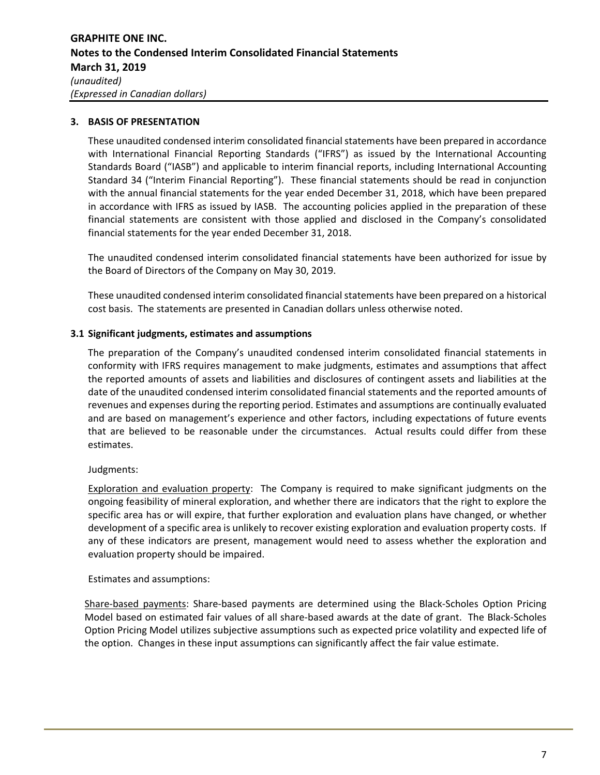## **3. BASIS OF PRESENTATION**

These unaudited condensed interim consolidated financial statements have been prepared in accordance with International Financial Reporting Standards ("IFRS") as issued by the International Accounting Standards Board ("IASB") and applicable to interim financial reports, including International Accounting Standard 34 ("Interim Financial Reporting"). These financial statements should be read in conjunction with the annual financial statements for the year ended December 31, 2018, which have been prepared in accordance with IFRS as issued by IASB. The accounting policies applied in the preparation of these financial statements are consistent with those applied and disclosed in the Company's consolidated financial statements for the year ended December 31, 2018.

The unaudited condensed interim consolidated financial statements have been authorized for issue by the Board of Directors of the Company on May 30, 2019.

These unaudited condensed interim consolidated financial statements have been prepared on a historical cost basis. The statements are presented in Canadian dollars unless otherwise noted.

### **3.1 Significant judgments, estimates and assumptions**

The preparation of the Company's unaudited condensed interim consolidated financial statements in conformity with IFRS requires management to make judgments, estimates and assumptions that affect the reported amounts of assets and liabilities and disclosures of contingent assets and liabilities at the date of the unaudited condensed interim consolidated financial statements and the reported amounts of revenues and expenses during the reporting period. Estimates and assumptions are continually evaluated and are based on management's experience and other factors, including expectations of future events that are believed to be reasonable under the circumstances. Actual results could differ from these estimates.

## Judgments:

Exploration and evaluation property: The Company is required to make significant judgments on the ongoing feasibility of mineral exploration, and whether there are indicators that the right to explore the specific area has or will expire, that further exploration and evaluation plans have changed, or whether development of a specific area is unlikely to recover existing exploration and evaluation property costs. If any of these indicators are present, management would need to assess whether the exploration and evaluation property should be impaired.

### Estimates and assumptions:

Share‐based payments: Share‐based payments are determined using the Black‐Scholes Option Pricing Model based on estimated fair values of all share‐based awards at the date of grant. The Black‐Scholes Option Pricing Model utilizes subjective assumptions such as expected price volatility and expected life of the option. Changes in these input assumptions can significantly affect the fair value estimate.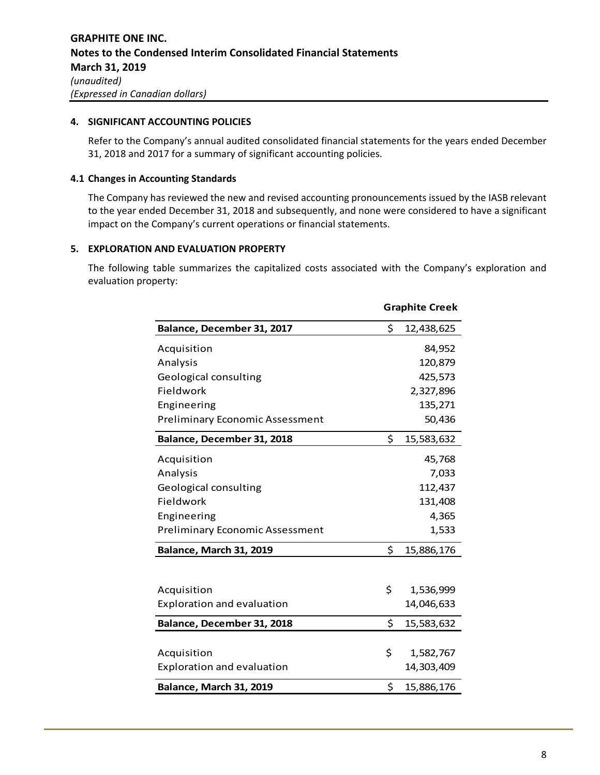### **4. SIGNIFICANT ACCOUNTING POLICIES**

Refer to the Company's annual audited consolidated financial statements for the years ended December 31, 2018 and 2017 for a summary of significant accounting policies.

### **4.1 Changes in Accounting Standards**

The Company has reviewed the new and revised accounting pronouncements issued by the IASB relevant to the year ended December 31, 2018 and subsequently, and none were considered to have a significant impact on the Company's current operations or financial statements.

## **5. EXPLORATION AND EVALUATION PROPERTY**

The following table summarizes the capitalized costs associated with the Company's exploration and evaluation property:

|                                        | <b>Graphite Creek</b> |            |  |
|----------------------------------------|-----------------------|------------|--|
| Balance, December 31, 2017             | \$                    | 12,438,625 |  |
| Acquisition                            |                       | 84,952     |  |
| Analysis                               |                       | 120,879    |  |
| Geological consulting                  |                       | 425,573    |  |
| Fieldwork                              |                       | 2,327,896  |  |
| Engineering                            |                       | 135,271    |  |
| <b>Preliminary Economic Assessment</b> |                       | 50,436     |  |
| Balance, December 31, 2018             | \$                    | 15,583,632 |  |
| Acquisition                            |                       | 45,768     |  |
| Analysis                               |                       | 7,033      |  |
| Geological consulting                  |                       | 112,437    |  |
| Fieldwork                              |                       | 131,408    |  |
| Engineering                            |                       | 4,365      |  |
| <b>Preliminary Economic Assessment</b> |                       | 1,533      |  |
| Balance, March 31, 2019                | \$                    | 15,886,176 |  |
|                                        |                       |            |  |
| Acquisition                            | \$                    | 1,536,999  |  |
| <b>Exploration and evaluation</b>      |                       | 14,046,633 |  |
| Balance, December 31, 2018             | \$                    | 15,583,632 |  |
|                                        |                       |            |  |
| Acquisition                            | \$                    | 1,582,767  |  |
| <b>Exploration and evaluation</b>      |                       | 14,303,409 |  |
| Balance, March 31, 2019                | \$                    | 15,886,176 |  |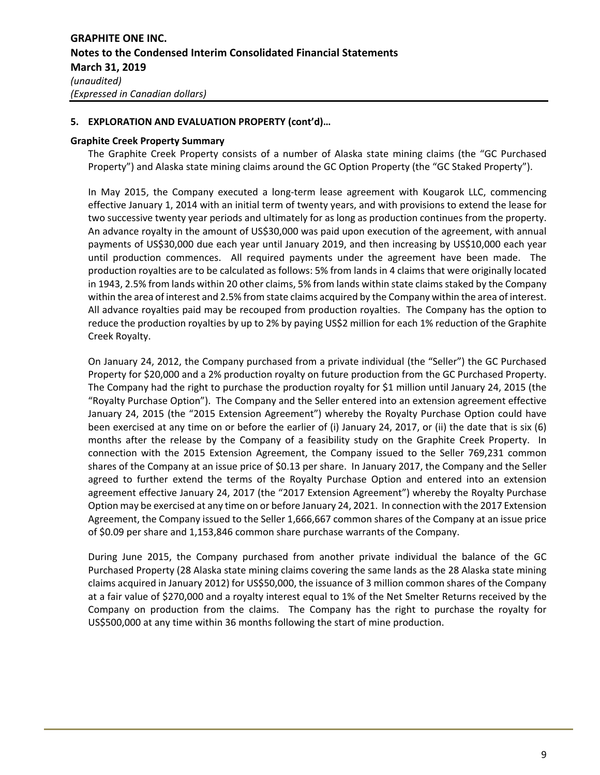## **5. EXPLORATION AND EVALUATION PROPERTY (cont'd)…**

### **Graphite Creek Property Summary**

The Graphite Creek Property consists of a number of Alaska state mining claims (the "GC Purchased Property") and Alaska state mining claims around the GC Option Property (the "GC Staked Property").

In May 2015, the Company executed a long-term lease agreement with Kougarok LLC, commencing effective January 1, 2014 with an initial term of twenty years, and with provisions to extend the lease for two successive twenty year periods and ultimately for as long as production continues from the property. An advance royalty in the amount of US\$30,000 was paid upon execution of the agreement, with annual payments of US\$30,000 due each year until January 2019, and then increasing by US\$10,000 each year until production commences. All required payments under the agreement have been made. The production royalties are to be calculated as follows: 5% from lands in 4 claims that were originally located in 1943, 2.5% from lands within 20 other claims, 5% from lands within state claims staked by the Company within the area of interest and 2.5% from state claims acquired by the Company within the area of interest. All advance royalties paid may be recouped from production royalties. The Company has the option to reduce the production royalties by up to 2% by paying US\$2 million for each 1% reduction of the Graphite Creek Royalty.

On January 24, 2012, the Company purchased from a private individual (the "Seller") the GC Purchased Property for \$20,000 and a 2% production royalty on future production from the GC Purchased Property. The Company had the right to purchase the production royalty for \$1 million until January 24, 2015 (the "Royalty Purchase Option"). The Company and the Seller entered into an extension agreement effective January 24, 2015 (the "2015 Extension Agreement") whereby the Royalty Purchase Option could have been exercised at any time on or before the earlier of (i) January 24, 2017, or (ii) the date that is six (6) months after the release by the Company of a feasibility study on the Graphite Creek Property. In connection with the 2015 Extension Agreement, the Company issued to the Seller 769,231 common shares of the Company at an issue price of \$0.13 per share. In January 2017, the Company and the Seller agreed to further extend the terms of the Royalty Purchase Option and entered into an extension agreement effective January 24, 2017 (the "2017 Extension Agreement") whereby the Royalty Purchase Option may be exercised at any time on or before January 24, 2021. In connection with the 2017 Extension Agreement, the Company issued to the Seller 1,666,667 common shares of the Company at an issue price of \$0.09 per share and 1,153,846 common share purchase warrants of the Company.

During June 2015, the Company purchased from another private individual the balance of the GC Purchased Property (28 Alaska state mining claims covering the same lands as the 28 Alaska state mining claims acquired in January 2012) for US\$50,000, the issuance of 3 million common shares of the Company at a fair value of \$270,000 and a royalty interest equal to 1% of the Net Smelter Returns received by the Company on production from the claims. The Company has the right to purchase the royalty for US\$500,000 at any time within 36 months following the start of mine production.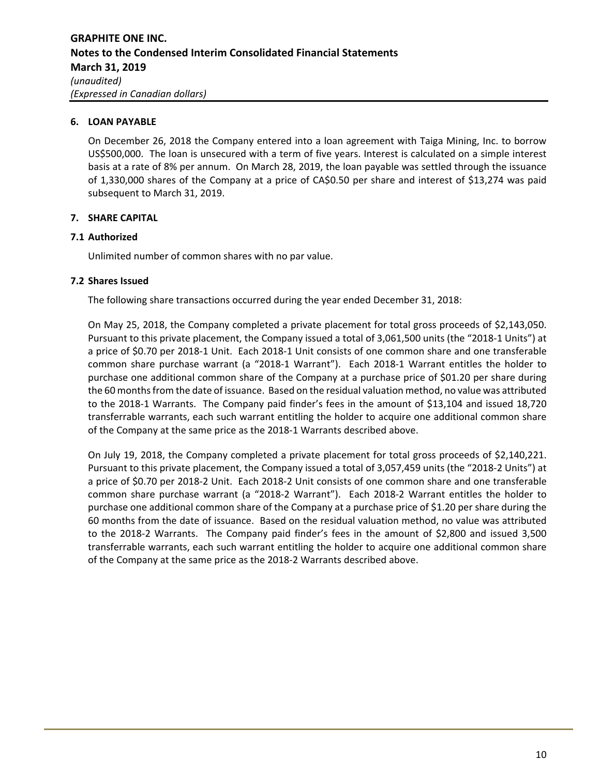## **6. LOAN PAYABLE**

On December 26, 2018 the Company entered into a loan agreement with Taiga Mining, Inc. to borrow US\$500,000. The loan is unsecured with a term of five years. Interest is calculated on a simple interest basis at a rate of 8% per annum. On March 28, 2019, the loan payable was settled through the issuance of 1,330,000 shares of the Company at a price of CA\$0.50 per share and interest of \$13,274 was paid subsequent to March 31, 2019.

# **7. SHARE CAPITAL**

## **7.1 Authorized**

Unlimited number of common shares with no par value.

# **7.2 Shares Issued**

The following share transactions occurred during the year ended December 31, 2018:

On May 25, 2018, the Company completed a private placement for total gross proceeds of \$2,143,050. Pursuant to this private placement, the Company issued a total of 3,061,500 units (the "2018‐1 Units") at a price of \$0.70 per 2018‐1 Unit. Each 2018‐1 Unit consists of one common share and one transferable common share purchase warrant (a "2018‐1 Warrant"). Each 2018‐1 Warrant entitles the holder to purchase one additional common share of the Company at a purchase price of \$01.20 per share during the 60 months from the date of issuance. Based on the residual valuation method, no value was attributed to the 2018-1 Warrants. The Company paid finder's fees in the amount of \$13,104 and issued 18,720 transferrable warrants, each such warrant entitling the holder to acquire one additional common share of the Company at the same price as the 2018‐1 Warrants described above.

On July 19, 2018, the Company completed a private placement for total gross proceeds of \$2,140,221. Pursuant to this private placement, the Company issued a total of 3,057,459 units (the "2018‐2 Units") at a price of \$0.70 per 2018‐2 Unit. Each 2018‐2 Unit consists of one common share and one transferable common share purchase warrant (a "2018‐2 Warrant"). Each 2018‐2 Warrant entitles the holder to purchase one additional common share of the Company at a purchase price of \$1.20 per share during the 60 months from the date of issuance. Based on the residual valuation method, no value was attributed to the 2018-2 Warrants. The Company paid finder's fees in the amount of \$2,800 and issued 3,500 transferrable warrants, each such warrant entitling the holder to acquire one additional common share of the Company at the same price as the 2018‐2 Warrants described above.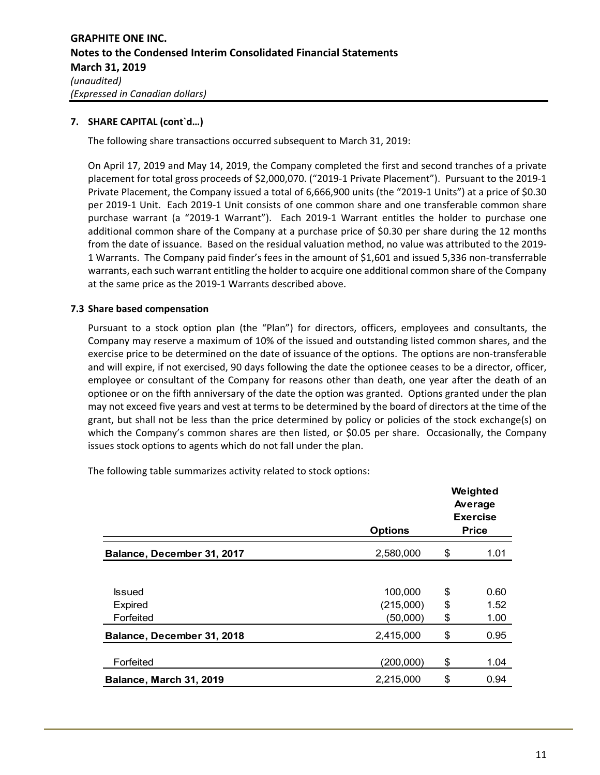The following share transactions occurred subsequent to March 31, 2019:

On April 17, 2019 and May 14, 2019, the Company completed the first and second tranches of a private placement for total gross proceeds of \$2,000,070. ("2019‐1 Private Placement"). Pursuant to the 2019‐1 Private Placement, the Company issued a total of 6,666,900 units (the "2019‐1 Units") at a price of \$0.30 per 2019‐1 Unit. Each 2019‐1 Unit consists of one common share and one transferable common share purchase warrant (a "2019-1 Warrant"). Each 2019-1 Warrant entitles the holder to purchase one additional common share of the Company at a purchase price of \$0.30 per share during the 12 months from the date of issuance. Based on the residual valuation method, no value was attributed to the 2019‐ 1 Warrants. The Company paid finder's fees in the amount of \$1,601 and issued 5,336 non‐transferrable warrants, each such warrant entitling the holder to acquire one additional common share of the Company at the same price as the 2019‐1 Warrants described above.

# **7.3 Share based compensation**

Pursuant to a stock option plan (the "Plan") for directors, officers, employees and consultants, the Company may reserve a maximum of 10% of the issued and outstanding listed common shares, and the exercise price to be determined on the date of issuance of the options. The options are non-transferable and will expire, if not exercised, 90 days following the date the optionee ceases to be a director, officer, employee or consultant of the Company for reasons other than death, one year after the death of an optionee or on the fifth anniversary of the date the option was granted. Options granted under the plan may not exceed five years and vest at terms to be determined by the board of directors at the time of the grant, but shall not be less than the price determined by policy or policies of the stock exchange(s) on which the Company's common shares are then listed, or \$0.05 per share. Occasionally, the Company issues stock options to agents which do not fall under the plan.

The following table summarizes activity related to stock options:

|                            | <b>Options</b> | Weighted<br>Average<br><b>Exercise</b><br><b>Price</b> |      |
|----------------------------|----------------|--------------------------------------------------------|------|
| Balance, December 31, 2017 | 2,580,000      | \$                                                     | 1.01 |
|                            |                |                                                        |      |
| <b>Issued</b>              | 100,000        | \$                                                     | 0.60 |
| <b>Expired</b>             | (215,000)      | \$                                                     | 1.52 |
| Forfeited                  | (50,000)       | \$                                                     | 1.00 |
| Balance, December 31, 2018 | 2,415,000      | \$                                                     | 0.95 |
|                            |                |                                                        |      |
| Forfeited                  | (200,000)      | \$                                                     | 1.04 |
| Balance, March 31, 2019    | 2,215,000      | \$                                                     | 0.94 |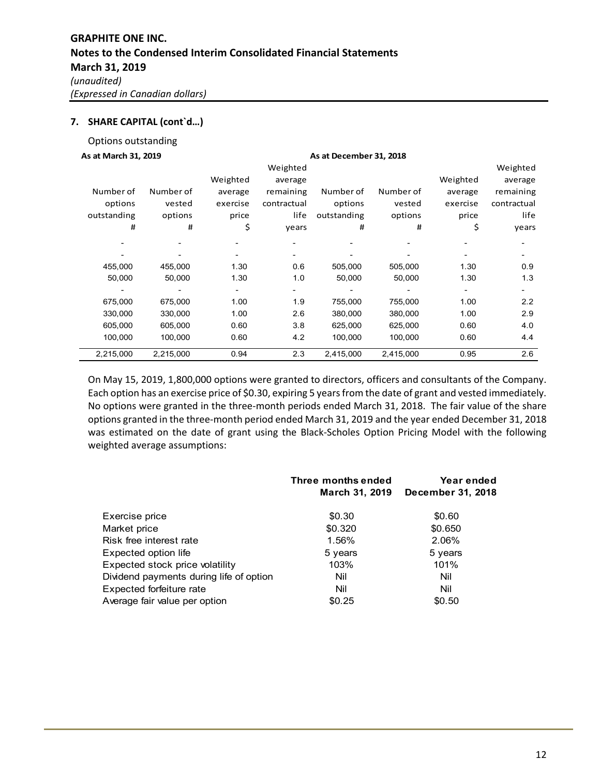Options outstanding

#### **As at March 31, 2019 As at December 31, 2018**

| 73 al IVIal CII 31, 2019 |           |          |             | As at December 91, 2010 |           |          |             |
|--------------------------|-----------|----------|-------------|-------------------------|-----------|----------|-------------|
|                          |           |          | Weighted    |                         |           |          | Weighted    |
|                          |           | Weighted | average     |                         |           | Weighted | average     |
| Number of                | Number of | average  | remaining   | Number of               | Number of | average  | remaining   |
| options                  | vested    | exercise | contractual | options                 | vested    | exercise | contractual |
| outstanding              | options   | price    | life        | outstanding             | options   | price    | life        |
| #                        | #         | \$       | years       | #                       | #         | \$       | years       |
|                          |           |          |             |                         |           |          |             |
|                          |           |          |             |                         |           |          |             |
| 455,000                  | 455,000   | 1.30     | 0.6         | 505,000                 | 505,000   | 1.30     | 0.9         |
| 50,000                   | 50,000    | 1.30     | 1.0         | 50,000                  | 50,000    | 1.30     | 1.3         |
|                          |           |          |             |                         |           |          |             |
| 675,000                  | 675,000   | 1.00     | 1.9         | 755,000                 | 755,000   | 1.00     | 2.2         |
| 330,000                  | 330,000   | 1.00     | 2.6         | 380,000                 | 380,000   | 1.00     | 2.9         |
| 605,000                  | 605,000   | 0.60     | 3.8         | 625,000                 | 625,000   | 0.60     | 4.0         |
| 100,000                  | 100,000   | 0.60     | 4.2         | 100,000                 | 100,000   | 0.60     | 4.4         |
| 2,215,000                | 2,215,000 | 0.94     | 2.3         | 2,415,000               | 2,415,000 | 0.95     | 2.6         |

On May 15, 2019, 1,800,000 options were granted to directors, officers and consultants of the Company. Each option has an exercise price of \$0.30, expiring 5 years from the date of grant and vested immediately. No options were granted in the three‐month periods ended March 31, 2018. The fair value of the share options granted in the three‐month period ended March 31, 2019 and the year ended December 31, 2018 was estimated on the date of grant using the Black-Scholes Option Pricing Model with the following weighted average assumptions:

|                                         | Three months ended<br>March 31, 2019 | Year ended<br>December 31, 2018 |
|-----------------------------------------|--------------------------------------|---------------------------------|
| Exercise price                          | \$0.30                               | \$0.60                          |
| Market price                            | \$0.320                              | \$0.650                         |
| Risk free interest rate                 | 1.56%                                | 2.06%                           |
| Expected option life                    | 5 years                              | 5 years                         |
| Expected stock price volatility         | 103%                                 | 101%                            |
| Dividend payments during life of option | Nil                                  | Nil                             |
| Expected forfeiture rate                | Nil                                  | Nil                             |
| Average fair value per option           | \$0.25                               | \$0.50                          |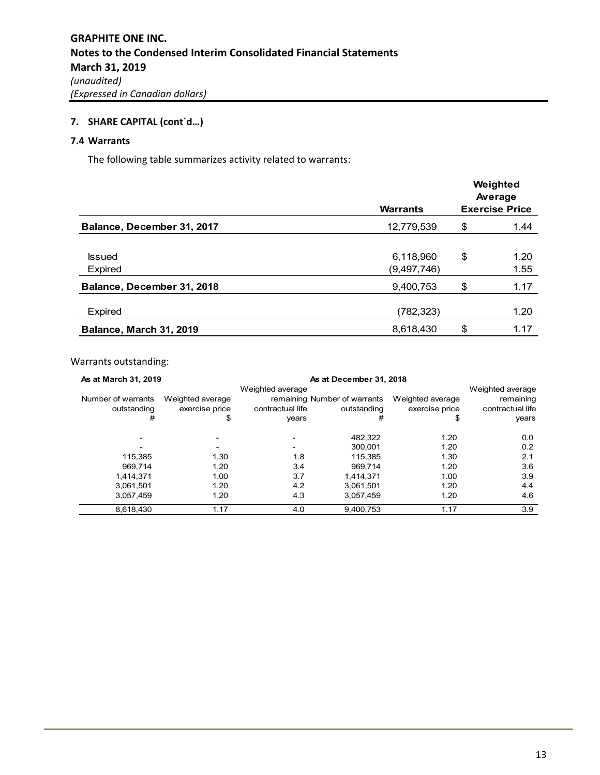# **7.4 Warrants**

The following table summarizes activity related to warrants:

|                                 | <b>Warrants</b>            | Weighted<br>Average<br><b>Exercise Price</b> |              |
|---------------------------------|----------------------------|----------------------------------------------|--------------|
| Balance, December 31, 2017      | 12,779,539                 | \$                                           | 1.44         |
| <b>Issued</b><br><b>Expired</b> | 6,118,960<br>(9, 497, 746) | \$                                           | 1.20<br>1.55 |
| Balance, December 31, 2018      | 9,400,753                  | \$                                           | 1.17         |
| Expired                         | (782,323)                  |                                              | 1.20         |
| Balance, March 31, 2019         | 8,618,430                  | \$                                           | 1.17         |

# Warrants outstanding:

| As at March 31, 2019 | As at December 31, 2018 |                  |                              |                  |                  |
|----------------------|-------------------------|------------------|------------------------------|------------------|------------------|
|                      |                         | Weighted average |                              |                  | Weighted average |
| Number of warrants   | Weighted average        |                  | remaining Number of warrants | Weighted average | remaining        |
| outstanding          | exercise price          | contractual life | outstanding                  | exercise price   | contractual life |
| #                    | \$                      | years            | #                            | \$               | years            |
|                      |                         |                  | 482,322                      | 1.20             | 0.0              |
|                      |                         |                  | 300.001                      | 1.20             | 0.2              |
| 115,385              | 1.30                    | 1.8              | 115.385                      | 1.30             | 2.1              |
| 969.714              | 1.20                    | 3.4              | 969.714                      | 1.20             | 3.6              |
| 1.414.371            | 1.00                    | 3.7              | 1.414.371                    | 1.00             | 3.9              |
| 3,061,501            | 1.20                    | 4.2              | 3.061.501                    | 1.20             | 4.4              |
| 3.057.459            | 1.20                    | 4.3              | 3.057.459                    | 1.20             | 4.6              |
| 8,618,430            | 1.17                    | 4.0              | 9.400.753                    | 1.17             | 3.9              |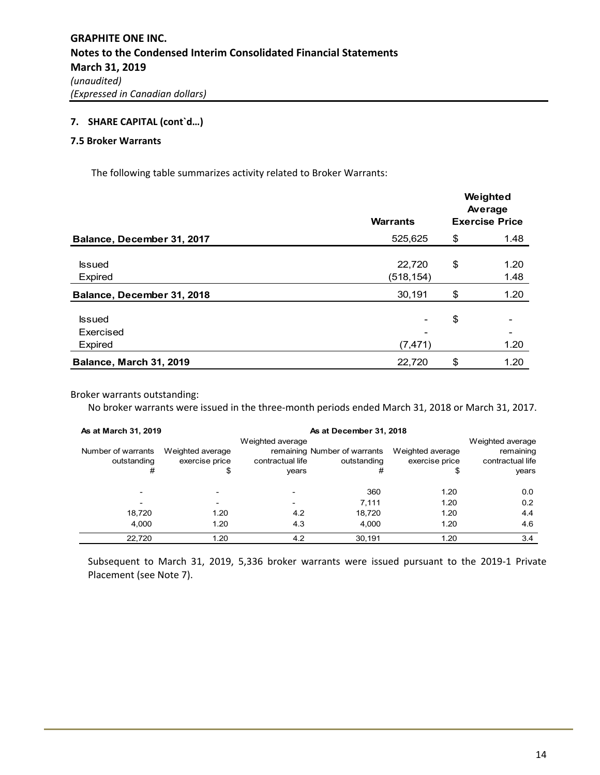### **7.5 Broker Warrants**

The following table summarizes activity related to Broker Warrants:

|                            | <b>Warrants</b> | Weighted<br>Average<br><b>Exercise Price</b> |      |
|----------------------------|-----------------|----------------------------------------------|------|
| Balance, December 31, 2017 | 525,625         | \$                                           | 1.48 |
| <b>Issued</b>              | 22,720          | \$                                           | 1.20 |
| Expired                    | (518, 154)      |                                              | 1.48 |
| Balance, December 31, 2018 | 30,191          | \$                                           | 1.20 |
| <b>Issued</b>              |                 | \$                                           |      |
| Exercised                  |                 |                                              |      |
| Expired                    | (7, 471)        |                                              | 1.20 |
| Balance, March 31, 2019    | 22,720          | \$                                           | 1.20 |

Broker warrants outstanding:

No broker warrants were issued in the three‐month periods ended March 31, 2018 or March 31, 2017.

| As at March 31, 2019<br>As at December 31, 2018 |                                          |                                               |                                                  |                                          |                                                            |
|-------------------------------------------------|------------------------------------------|-----------------------------------------------|--------------------------------------------------|------------------------------------------|------------------------------------------------------------|
| Number of warrants<br>outstanding<br>#          | Weighted average<br>exercise price<br>\$ | Weighted average<br>contractual life<br>years | remaining Number of warrants<br>outstanding<br># | Weighted average<br>exercise price<br>\$ | Weighted average<br>remaining<br>contractual life<br>years |
|                                                 |                                          |                                               | 360                                              | 1.20                                     | 0.0                                                        |
|                                                 |                                          |                                               | 7.111                                            | 1.20                                     | 0.2                                                        |
| 18,720                                          | 1.20                                     | 4.2                                           | 18,720                                           | 1.20                                     | 4.4                                                        |
| 4,000                                           | 1.20                                     | 4.3                                           | 4.000                                            | 1.20                                     | 4.6                                                        |
| 22,720                                          | 1.20                                     | 4.2                                           | 30,191                                           | 1.20                                     | 3.4                                                        |

Subsequent to March 31, 2019, 5,336 broker warrants were issued pursuant to the 2019‐1 Private Placement (see Note 7).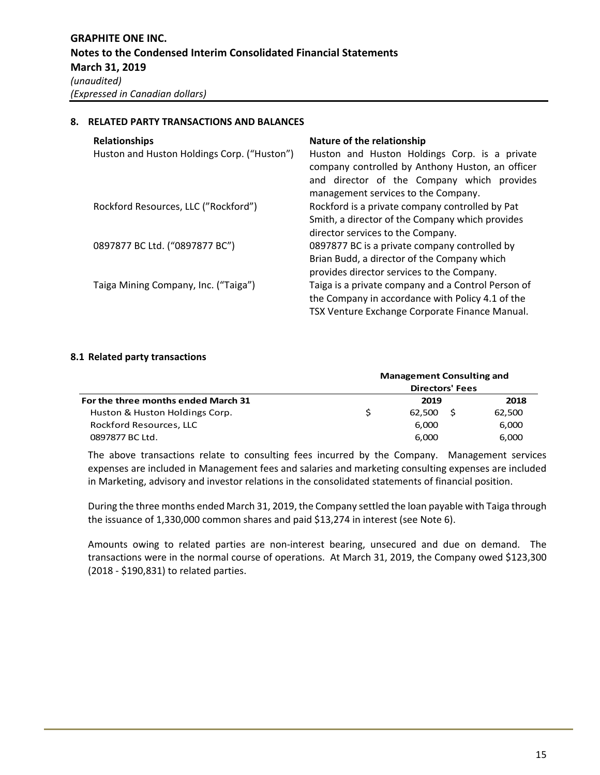### **8. RELATED PARTY TRANSACTIONS AND BALANCES**

| <b>Relationships</b><br>Huston and Huston Holdings Corp. ("Huston") | Nature of the relationship<br>Huston and Huston Holdings Corp. is a private<br>company controlled by Anthony Huston, an officer<br>and director of the Company which provides<br>management services to the Company. |
|---------------------------------------------------------------------|----------------------------------------------------------------------------------------------------------------------------------------------------------------------------------------------------------------------|
| Rockford Resources, LLC ("Rockford")                                | Rockford is a private company controlled by Pat<br>Smith, a director of the Company which provides<br>director services to the Company.                                                                              |
| 0897877 BC Ltd. ("0897877 BC")                                      | 0897877 BC is a private company controlled by<br>Brian Budd, a director of the Company which<br>provides director services to the Company.                                                                           |
| Taiga Mining Company, Inc. ("Taiga")                                | Taiga is a private company and a Control Person of<br>the Company in accordance with Policy 4.1 of the<br>TSX Venture Exchange Corporate Finance Manual.                                                             |

### **8.1 Related party transactions**

| For the three months ended March 31<br>Huston & Huston Holdings Corp. | <b>Management Consulting and</b> |        |        |  |
|-----------------------------------------------------------------------|----------------------------------|--------|--------|--|
|                                                                       | <b>Directors' Fees</b>           |        |        |  |
|                                                                       |                                  | 2019   | 2018   |  |
|                                                                       |                                  | 62.500 | 62,500 |  |
| Rockford Resources, LLC                                               |                                  | 6.000  | 6,000  |  |
| 0897877 BC Ltd.                                                       |                                  | 6.000  | 6,000  |  |

The above transactions relate to consulting fees incurred by the Company. Management services expenses are included in Management fees and salaries and marketing consulting expenses are included in Marketing, advisory and investor relations in the consolidated statements of financial position.

During the three months ended March 31, 2019, the Company settled the loan payable with Taiga through the issuance of 1,330,000 common shares and paid \$13,274 in interest (see Note 6).

Amounts owing to related parties are non-interest bearing, unsecured and due on demand. The transactions were in the normal course of operations. At March 31, 2019, the Company owed \$123,300 (2018 ‐ \$190,831) to related parties.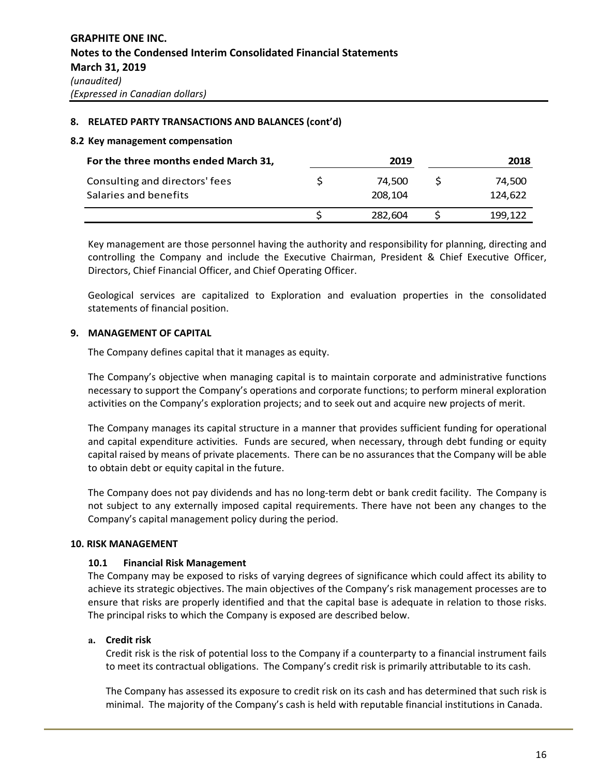### **8. RELATED PARTY TRANSACTIONS AND BALANCES (cont'd)**

#### **8.2 Key management compensation**

| For the three months ended March 31, | 2019    | 2018    |
|--------------------------------------|---------|---------|
| Consulting and directors' fees       | 74.500  | 74.500  |
| Salaries and benefits                | 208.104 | 124.622 |
|                                      | 282,604 | 199,122 |

Key management are those personnel having the authority and responsibility for planning, directing and controlling the Company and include the Executive Chairman, President & Chief Executive Officer, Directors, Chief Financial Officer, and Chief Operating Officer.

Geological services are capitalized to Exploration and evaluation properties in the consolidated statements of financial position.

### **9. MANAGEMENT OF CAPITAL**

The Company defines capital that it manages as equity.

The Company's objective when managing capital is to maintain corporate and administrative functions necessary to support the Company's operations and corporate functions; to perform mineral exploration activities on the Company's exploration projects; and to seek out and acquire new projects of merit.

The Company manages its capital structure in a manner that provides sufficient funding for operational and capital expenditure activities. Funds are secured, when necessary, through debt funding or equity capital raised by means of private placements. There can be no assurances that the Company will be able to obtain debt or equity capital in the future.

The Company does not pay dividends and has no long‐term debt or bank credit facility. The Company is not subject to any externally imposed capital requirements. There have not been any changes to the Company's capital management policy during the period.

### **10. RISK MANAGEMENT**

### **10.1 Financial Risk Management**

The Company may be exposed to risks of varying degrees of significance which could affect its ability to achieve its strategic objectives. The main objectives of the Company's risk management processes are to ensure that risks are properly identified and that the capital base is adequate in relation to those risks. The principal risks to which the Company is exposed are described below.

## **a. Credit risk**

Credit risk is the risk of potential loss to the Company if a counterparty to a financial instrument fails to meet its contractual obligations. The Company's credit risk is primarily attributable to its cash.

The Company has assessed its exposure to credit risk on its cash and has determined that such risk is minimal. The majority of the Company's cash is held with reputable financial institutions in Canada.